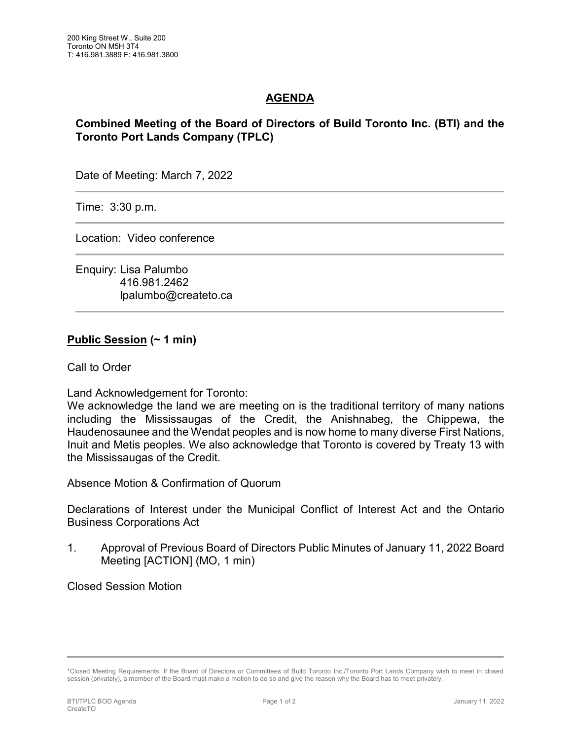## **AGENDA**

## **Combined Meeting of the Board of Directors of Build Toronto Inc. (BTI) and the Toronto Port Lands Company (TPLC)**

Date of Meeting: March 7, 2022

Time: 3:30 p.m.

Location: Video conference

Enquiry: Lisa Palumbo 416.981.2462 lpalumbo@createto.ca

## **Public Session (~ 1 min)**

Call to Order

Land Acknowledgement for Toronto:

We acknowledge the land we are meeting on is the traditional territory of many nations including the Mississaugas of the Credit, the Anishnabeg, the Chippewa, the Haudenosaunee and the Wendat peoples and is now home to many diverse First Nations, Inuit and Metis peoples. We also acknowledge that Toronto is covered by Treaty 13 with the Mississaugas of the Credit.

Absence Motion & Confirmation of Quorum

Declarations of Interest under the Municipal Conflict of Interest Act and the Ontario Business Corporations Act

1. Approval of Previous Board of Directors Public Minutes of January 11, 2022 Board Meeting [ACTION] (MO, 1 min)

Closed Session Motion

<sup>\*</sup>Closed Meeting Requirements: If the Board of Directors or Committees of Build Toronto Inc./Toronto Port Lands Company wish to meet in closed session (privately), a member of the Board must make a motion to do so and give the reason why the Board has to meet privately.